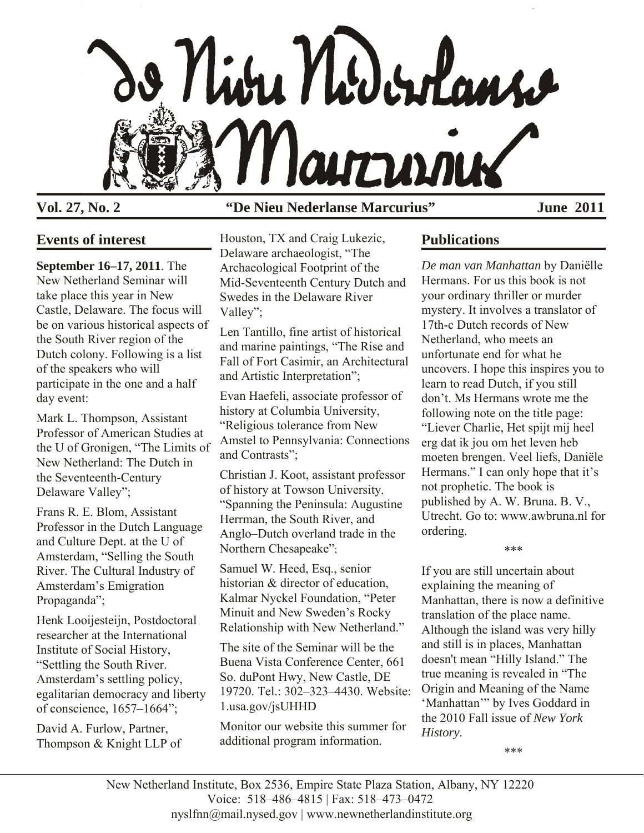

# **Vol. 27, No. 2 "De Nieu Nederlanse Marcurius" June 2011**

# **Events of interest**

**September 16–17, 2011**. The New Netherland Seminar will take place this year in New Castle, Delaware. The focus will be on various historical aspects of the South River region of the Dutch colony. Following is a list of the speakers who will participate in the one and a half day event:

Mark L. Thompson, Assistant Professor of American Studies at the U of Gronigen, "The Limits of New Netherland: The Dutch in the Seventeenth-Century Delaware Valley";

Frans R. E. Blom, Assistant Professor in the Dutch Language and Culture Dept. at the U of Amsterdam, "Selling the South River. The Cultural Industry of Amsterdam's Emigration Propaganda";

Henk Looijesteijn, Postdoctoral researcher at the International Institute of Social History, "Settling the South River. Amsterdam's settling policy, egalitarian democracy and liberty of conscience, 1657–1664";

David A. Furlow, Partner, Thompson & Knight LLP of Houston, TX and Craig Lukezic, Delaware archaeologist, "The Archaeological Footprint of the Mid-Seventeenth Century Dutch and Swedes in the Delaware River Valley";

Len Tantillo, fine artist of historical and marine paintings, "The Rise and Fall of Fort Casimir, an Architectural and Artistic Interpretation";

Evan Haefeli, associate professor of history at Columbia University, "Religious tolerance from New Amstel to Pennsylvania: Connections and Contrasts";

Christian J. Koot, assistant professor of history at Towson University, "Spanning the Peninsula: Augustine Herrman, the South River, and Anglo–Dutch overland trade in the Northern Chesapeake";

Samuel W. Heed, Esq., senior historian & director of education, Kalmar Nyckel Foundation, "Peter Minuit and New Sweden's Rocky Relationship with New Netherland."

The site of the Seminar will be the Buena Vista Conference Center, 661 So. duPont Hwy, New Castle, DE 19720. Tel.: 302–323–4430. Website: 1.usa.gov/jsUHHD

Monitor our website this summer for additional program information.

# **Publications**

*De man van Manhattan* by Daniëlle Hermans. For us this book is not your ordinary thriller or murder mystery. It involves a translator of 17th-c Dutch records of New Netherland, who meets an unfortunate end for what he uncovers. I hope this inspires you to learn to read Dutch, if you still don't. Ms Hermans wrote me the following note on the title page: "Liever Charlie, Het spijt mij heel erg dat ik jou om het leven heb moeten brengen. Veel liefs, Daniële Hermans." I can only hope that it's not prophetic. The book is published by A. W. Bruna. B. V., Utrecht. Go to: www.awbruna.nl for ordering.

\*\*\*

If you are still uncertain about explaining the meaning of Manhattan, there is now a definitive translation of the place name. Although the island was very hilly and still is in places, Manhattan doesn't mean "Hilly Island." The true meaning is revealed in "The Origin and Meaning of the Name 'Manhattan'" by Ives Goddard in the 2010 Fall issue of *New York History*.

\*\*\*

New Netherland Institute, Box 2536, Empire State Plaza Station, Albany, NY 12220 Voice: 518–486–4815 | Fax: 518–473–0472 nyslfnn@mail.nysed.gov | www.newnetherlandinstitute.org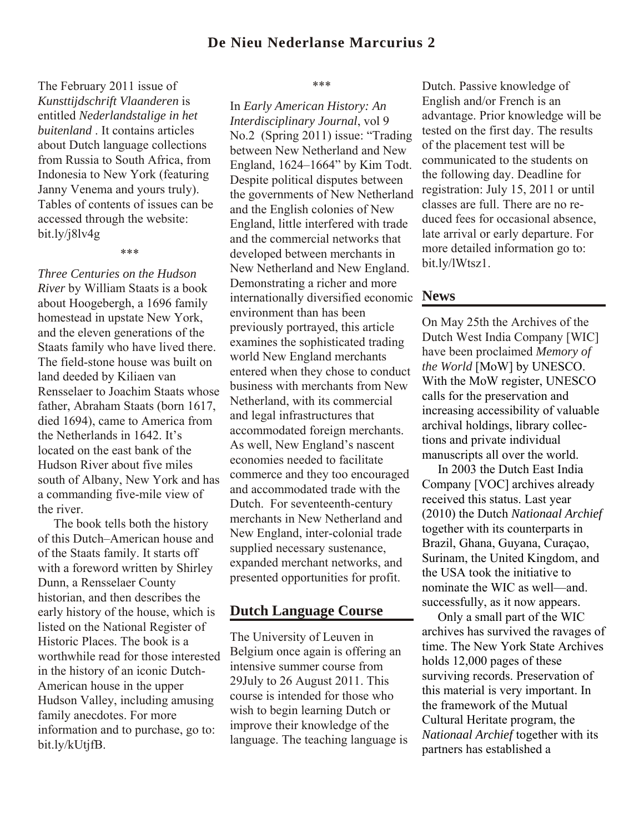The February 2011 issue of *Kunsttijdschrift Vlaanderen* is entitled *Nederlandstalige in het buitenland* . It contains articles about Dutch language collections from Russia to South Africa, from Indonesia to New York (featuring Janny Venema and yours truly). Tables of contents of issues can be accessed through the website: bit.ly/j8lv4g

\*\*\*

*Three Centuries on the Hudson River* by William Staats is a book about Hoogebergh, a 1696 family homestead in upstate New York, and the eleven generations of the Staats family who have lived there. The field-stone house was built on land deeded by Kiliaen van Rensselaer to Joachim Staats whose father, Abraham Staats (born 1617, died 1694), came to America from the Netherlands in 1642. It's located on the east bank of the Hudson River about five miles south of Albany, New York and has a commanding five-mile view of the river.

 The book tells both the history of this Dutch–American house and of the Staats family. It starts off with a foreword written by Shirley Dunn, a Rensselaer County historian, and then describes the early history of the house, which is listed on the National Register of Historic Places. The book is a worthwhile read for those interested in the history of an iconic Dutch-American house in the upper Hudson Valley, including amusing family anecdotes. For more information and to purchase, go to: bit.ly/kUtjfB.

#### \*\*\*

In *Early American History: An Interdisciplinary Journal*, vol 9 No.2 (Spring 2011) issue: "Trading between New Netherland and New England, 1624–1664" by Kim Todt. Despite political disputes between the governments of New Netherland and the English colonies of New England, little interfered with trade and the commercial networks that developed between merchants in New Netherland and New England. Demonstrating a richer and more internationally diversified economic environment than has been previously portrayed, this article examines the sophisticated trading world New England merchants entered when they chose to conduct business with merchants from New Netherland, with its commercial and legal infrastructures that accommodated foreign merchants. As well, New England's nascent economies needed to facilitate commerce and they too encouraged and accommodated trade with the Dutch. For seventeenth-century merchants in New Netherland and New England, inter-colonial trade supplied necessary sustenance, expanded merchant networks, and presented opportunities for profit.

#### **Dutch Language Course**

The University of Leuven in Belgium once again is offering an intensive summer course from 29July to 26 August 2011. This course is intended for those who wish to begin learning Dutch or improve their knowledge of the language. The teaching language is

Dutch. Passive knowledge of English and/or French is an advantage. Prior knowledge will be tested on the first day. The results of the placement test will be communicated to the students on the following day. Deadline for registration: July 15, 2011 or until classes are full. There are no reduced fees for occasional absence, late arrival or early departure. For more detailed information go to: bit.ly/lWtsz1.

#### **News**

On May 25th the Archives of the Dutch West India Company [WIC] have been proclaimed *Memory of the World* [MoW] by UNESCO. With the MoW register, UNESCO calls for the preservation and increasing accessibility of valuable archival holdings, library collections and private individual manuscripts all over the world.

 In 2003 the Dutch East India Company [VOC] archives already received this status. Last year (2010) the Dutch *Nationaal Archief* together with its counterparts in Brazil, Ghana, Guyana, Curaçao, Surinam, the United Kingdom, and the USA took the initiative to nominate the WIC as well—and. successfully, as it now appears.

 Only a small part of the WIC archives has survived the ravages of time. The New York State Archives holds 12,000 pages of these surviving records. Preservation of this material is very important. In the framework of the Mutual Cultural Heritate program, the *Nationaal Archief* together with its partners has established a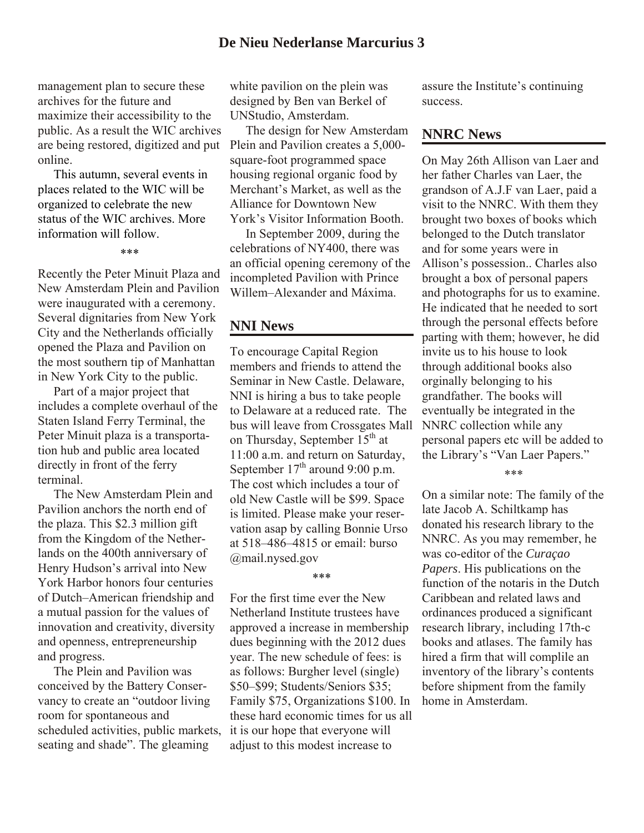## **De Nieu Nederlanse Marcurius 3**

management plan to secure these archives for the future and maximize their accessibility to the public. As a result the WIC archives are being restored, digitized and put online.

 This autumn, several events in places related to the WIC will be organized to celebrate the new status of the WIC archives. More information will follow.

\*\*\*

Recently the Peter Minuit Plaza and New Amsterdam Plein and Pavilion were inaugurated with a ceremony. Several dignitaries from New York City and the Netherlands officially opened the Plaza and Pavilion on the most southern tip of Manhattan in New York City to the public.

 Part of a major project that includes a complete overhaul of the Staten Island Ferry Terminal, the Peter Minuit plaza is a transportation hub and public area located directly in front of the ferry terminal.

 The New Amsterdam Plein and Pavilion anchors the north end of the plaza. This \$2.3 million gift from the Kingdom of the Netherlands on the 400th anniversary of Henry Hudson's arrival into New York Harbor honors four centuries of Dutch–American friendship and a mutual passion for the values of innovation and creativity, diversity and openness, entrepreneurship and progress.

 The Plein and Pavilion was conceived by the Battery Conservancy to create an "outdoor living room for spontaneous and scheduled activities, public markets, seating and shade". The gleaming

white pavilion on the plein was designed by Ben van Berkel of UNStudio, Amsterdam.

 The design for New Amsterdam Plein and Pavilion creates a 5,000 square-foot programmed space housing regional organic food by Merchant's Market, as well as the Alliance for Downtown New York's Visitor Information Booth.

 In September 2009, during the celebrations of NY400, there was an official opening ceremony of the incompleted Pavilion with Prince Willem–Alexander and Máxima.

#### **NNI News**

To encourage Capital Region members and friends to attend the Seminar in New Castle. Delaware, NNI is hiring a bus to take people to Delaware at a reduced rate. The bus will leave from Crossgates Mall on Thursday, September  $15<sup>th</sup>$  at 11:00 a.m. and return on Saturday, September  $17<sup>th</sup>$  around 9:00 p.m. The cost which includes a tour of old New Castle will be \$99. Space is limited. Please make your reservation asap by calling Bonnie Urso at 518–486–4815 or email: burso @mail.nysed.gov

#### \*\*\*

For the first time ever the New Netherland Institute trustees have approved a increase in membership dues beginning with the 2012 dues year. The new schedule of fees: is as follows: Burgher level (single) \$50–\$99; Students/Seniors \$35; Family \$75, Organizations \$100. In these hard economic times for us all it is our hope that everyone will adjust to this modest increase to

assure the Institute's continuing success.

## **NNRC News**

On May 26th Allison van Laer and her father Charles van Laer, the grandson of A.J.F van Laer, paid a visit to the NNRC. With them they brought two boxes of books which belonged to the Dutch translator and for some years were in Allison's possession.. Charles also brought a box of personal papers and photographs for us to examine. He indicated that he needed to sort through the personal effects before parting with them; however, he did invite us to his house to look through additional books also orginally belonging to his grandfather. The books will eventually be integrated in the NNRC collection while any personal papers etc will be added to the Library's "Van Laer Papers."

\*\*\*

On a similar note: The family of the late Jacob A. Schiltkamp has donated his research library to the NNRC. As you may remember, he was co-editor of the *Curaçao Papers*. His publications on the function of the notaris in the Dutch Caribbean and related laws and ordinances produced a significant research library, including 17th-c books and atlases. The family has hired a firm that will complile an inventory of the library's contents before shipment from the family home in Amsterdam.